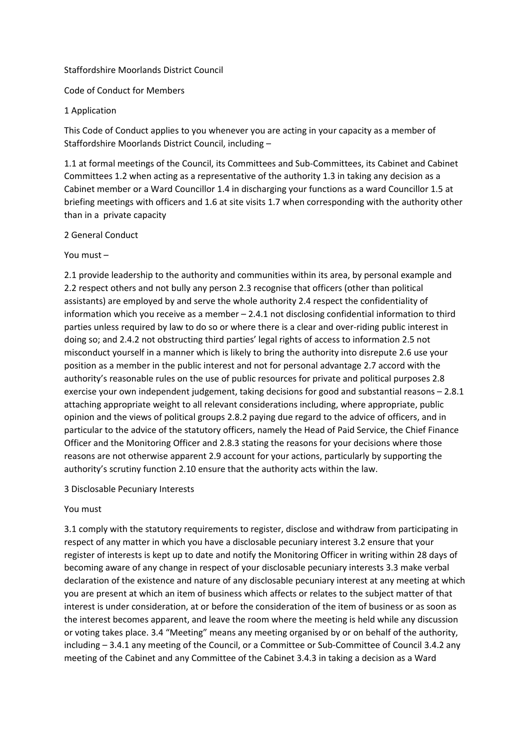## Staffordshire Moorlands District Council

Code of Conduct for Members

### 1 Application

This Code of Conduct applies to you whenever you are acting in your capacity as a member of Staffordshire Moorlands District Council, including –

1.1 at formal meetings of the Council, its Committees and Sub-Committees, its Cabinet and Cabinet Committees 1.2 when acting as a representative of the authority 1.3 in taking any decision as a Cabinet member or a Ward Councillor 1.4 in discharging your functions as a ward Councillor 1.5 at briefing meetings with officers and 1.6 at site visits 1.7 when corresponding with the authority other than in a private capacity

## 2 General Conduct

### You must –

2.1 provide leadership to the authority and communities within its area, by personal example and 2.2 respect others and not bully any person 2.3 recognise that officers (other than political assistants) are employed by and serve the whole authority 2.4 respect the confidentiality of information which you receive as a member – 2.4.1 not disclosing confidential information to third parties unless required by law to do so or where there is a clear and over-riding public interest in doing so; and 2.4.2 not obstructing third parties' legal rights of access to information 2.5 not misconduct yourself in a manner which is likely to bring the authority into disrepute 2.6 use your position as a member in the public interest and not for personal advantage 2.7 accord with the authority's reasonable rules on the use of public resources for private and political purposes 2.8 exercise your own independent judgement, taking decisions for good and substantial reasons – 2.8.1 attaching appropriate weight to all relevant considerations including, where appropriate, public opinion and the views of political groups 2.8.2 paying due regard to the advice of officers, and in particular to the advice of the statutory officers, namely the Head of Paid Service, the Chief Finance Officer and the Monitoring Officer and 2.8.3 stating the reasons for your decisions where those reasons are not otherwise apparent 2.9 account for your actions, particularly by supporting the authority's scrutiny function 2.10 ensure that the authority acts within the law.

#### 3 Disclosable Pecuniary Interests

## You must

3.1 comply with the statutory requirements to register, disclose and withdraw from participating in respect of any matter in which you have a disclosable pecuniary interest 3.2 ensure that your register of interests is kept up to date and notify the Monitoring Officer in writing within 28 days of becoming aware of any change in respect of your disclosable pecuniary interests 3.3 make verbal declaration of the existence and nature of any disclosable pecuniary interest at any meeting at which you are present at which an item of business which affects or relates to the subject matter of that interest is under consideration, at or before the consideration of the item of business or as soon as the interest becomes apparent, and leave the room where the meeting is held while any discussion or voting takes place. 3.4 "Meeting" means any meeting organised by or on behalf of the authority, including – 3.4.1 any meeting of the Council, or a Committee or Sub-Committee of Council 3.4.2 any meeting of the Cabinet and any Committee of the Cabinet 3.4.3 in taking a decision as a Ward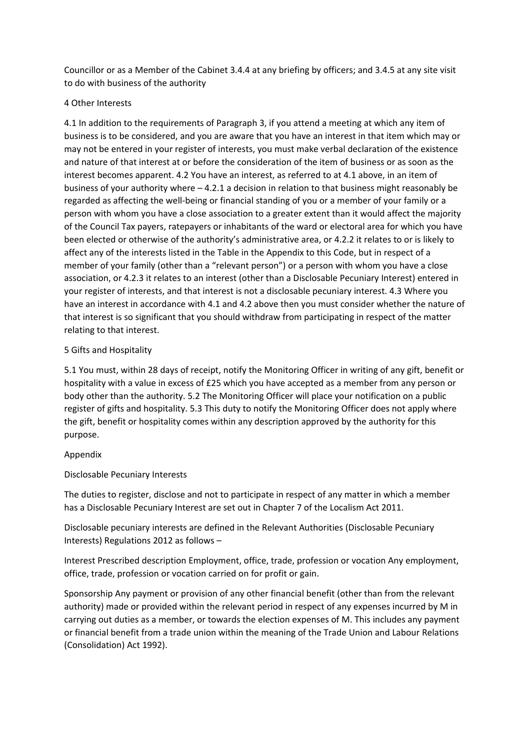Councillor or as a Member of the Cabinet 3.4.4 at any briefing by officers; and 3.4.5 at any site visit to do with business of the authority

## 4 Other Interests

4.1 In addition to the requirements of Paragraph 3, if you attend a meeting at which any item of business is to be considered, and you are aware that you have an interest in that item which may or may not be entered in your register of interests, you must make verbal declaration of the existence and nature of that interest at or before the consideration of the item of business or as soon as the interest becomes apparent. 4.2 You have an interest, as referred to at 4.1 above, in an item of business of your authority where – 4.2.1 a decision in relation to that business might reasonably be regarded as affecting the well-being or financial standing of you or a member of your family or a person with whom you have a close association to a greater extent than it would affect the majority of the Council Tax payers, ratepayers or inhabitants of the ward or electoral area for which you have been elected or otherwise of the authority's administrative area, or 4.2.2 it relates to or is likely to affect any of the interests listed in the Table in the Appendix to this Code, but in respect of a member of your family (other than a "relevant person") or a person with whom you have a close association, or 4.2.3 it relates to an interest (other than a Disclosable Pecuniary Interest) entered in your register of interests, and that interest is not a disclosable pecuniary interest. 4.3 Where you have an interest in accordance with 4.1 and 4.2 above then you must consider whether the nature of that interest is so significant that you should withdraw from participating in respect of the matter relating to that interest.

## 5 Gifts and Hospitality

5.1 You must, within 28 days of receipt, notify the Monitoring Officer in writing of any gift, benefit or hospitality with a value in excess of £25 which you have accepted as a member from any person or body other than the authority. 5.2 The Monitoring Officer will place your notification on a public register of gifts and hospitality. 5.3 This duty to notify the Monitoring Officer does not apply where the gift, benefit or hospitality comes within any description approved by the authority for this purpose.

# Appendix

Disclosable Pecuniary Interests

The duties to register, disclose and not to participate in respect of any matter in which a member has a Disclosable Pecuniary Interest are set out in Chapter 7 of the Localism Act 2011.

Disclosable pecuniary interests are defined in the Relevant Authorities (Disclosable Pecuniary Interests) Regulations 2012 as follows –

Interest Prescribed description Employment, office, trade, profession or vocation Any employment, office, trade, profession or vocation carried on for profit or gain.

Sponsorship Any payment or provision of any other financial benefit (other than from the relevant authority) made or provided within the relevant period in respect of any expenses incurred by M in carrying out duties as a member, or towards the election expenses of M. This includes any payment or financial benefit from a trade union within the meaning of the Trade Union and Labour Relations (Consolidation) Act 1992).